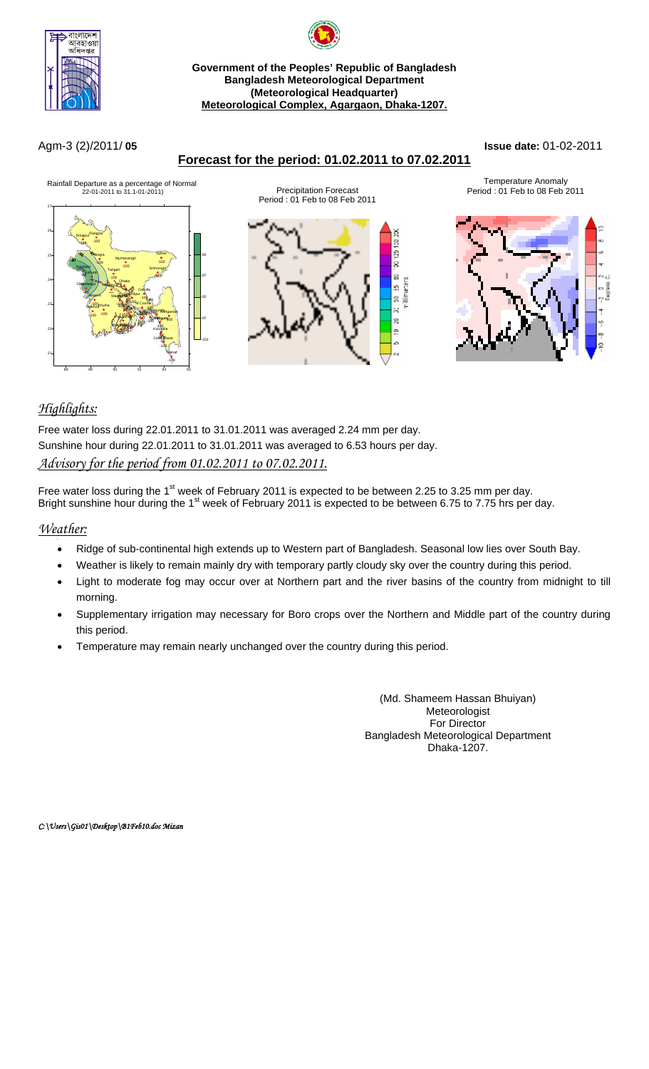

## **Government of the Peoples' Republic of Bangladesh Bangladesh Meteorological Department (Meteorological Headquarter) Meteorological Complex, Agargaon, Dhaka-1207.**

#### Agm-3 (2)/2011/ **05 Issue date:** 01-02-2011





# *Highlights:*

Free water loss during 22.01.2011 to 31.01.2011 was averaged 2.24 mm per day. Sunshine hour during 22.01.2011 to 31.01.2011 was averaged to 6.53 hours per day. *Advisory for the period from 01.02.2011 to 07.02.2011.*

Free water loss during the 1<sup>st</sup> week of February 2011 is expected to be between 2.25 to 3.25 mm per day. Bright sunshine hour during the 1<sup>st</sup> week of February 2011 is expected to be between 6.75 to 7.75 hrs per day.

#### *Weather:*

- Ridge of sub-continental high extends up to Western part of Bangladesh. Seasonal low lies over South Bay.
- Weather is likely to remain mainly dry with temporary partly cloudy sky over the country during this period.
- Light to moderate fog may occur over at Northern part and the river basins of the country from midnight to till morning.
- Supplementary irrigation may necessary for Boro crops over the Northern and Middle part of the country during this period.
- Temperature may remain nearly unchanged over the country during this period.

(Md. Shameem Hassan Bhuiyan) Meteorologist For Director Bangladesh Meteorological Department Dhaka-1207.

*C:\Users\Gis01\Desktop\B1Feb10.doc Mizan*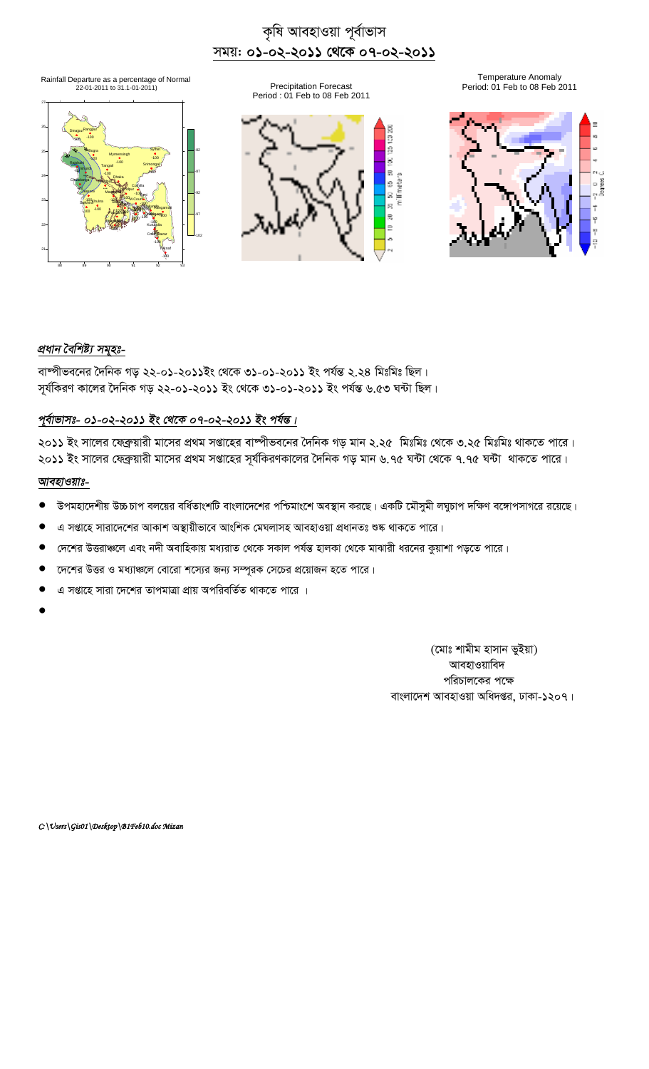# কৃষি আবহাওয়া পূৰ্বাভাস সময়: **০১-০২-২০১১ থেকে ০৭-০২-২০১১**

Rainfall Departure as a percentage of Normal<br>Precipitation Forecast 1986 1991 1992-01-2011 to 31.1-01-2011)<br>Period: 01 Feb to 08 Feb 20 Period: 01 Feb to 08 Feb 20







Precipitation Forecast **Precipitation Forecast** Period: 01 Feb to 08 Feb 2011



# *প্ৰধান বৈশিষ্ট্য সমূহঃ-*

বাষ্পীভবনের দৈনিক গড় ২২-০১-২০১১ইং থেকে ৩১-০১-২০১১ ইং পর্যন্ত ২.২৪ মিঃমিঃ ছিল। সূর্যকিরণ কালের দৈনিক গড় ২২-০১-২০১১ ইং থেকে ৩১-০১-২০১১ ইং পর্যন্ত ৬.৫৩ ঘন্টা ছিল।

## <u>পূৰ্বাভাসঃ- ০১-০২-২০১১ ইং থেকে ০৭-০২-২০১১ ইং পৰ্যন্ত।</u>

২০১১ ইং সালের ফেব্রুয়ারী মাসের প্রথম সপ্তাহের বাষ্পীভবনের দৈনিক গড় মান ২.২৫ মিঃমিঃ থেকে ৩.২৫ মিঃমিঃ থাকতে পারে। ২০১১ ইং সালের ফেব্রুয়ারী মাসের প্রথম সপ্তাহের সূর্যকিরণকালের দৈনিক গড় মান ৬.৭৫ ঘন্টা থেকে ৭.৭৫ ঘন্টা থাকতে পারে।

### *আবহাওয়াঃ-*

- উপমহাদেশীয় উচ্চ চাপ বলয়ের বর্ধিতাংশটি বাংলাদেশের পশ্চিমাংশে অবস্থান করছে। একটি মৌসমী লঘচাপ দক্ষিণ বঙ্গোপসাগরে রয়েছে।
- এ সপ্তাহে সারাদেশের আকাশ অস্থায়ীভাবে আংশিক মেঘলাসহ আবহাওয়া প্রধানতঃ শুষ্ক থাকতে পারে।
- দেশের উত্তরাঞ্চলে এবং নদী অবাহিকায় মধ্যরাত থেকে সকাল পর্যন্ত হালকা থেকে মাঝারী ধরনের কুয়াশা পড়তে পারে।
- দেশের উত্তর ও মধ্যাঞ্চলে বোরো শস্যের জন্য সম্পূরক সেচের প্রয়োজন হতে পারে।
- এ সপ্তাহে সারা দেশের তাপমাত্রা প্রায় অপরিবর্তিত থাকতে পারে ।
- $\bullet$

(মোঃ শামীম হাসান ভুইয়া) আবহাওয়াবিদ পরিচালকের পক্ষে বাংলাদেশ আবহাওয়া অধিদপ্তর, ঢাকা-১২০৭।

*C:\Users\Gis01\Desktop\B1Feb10.doc Mizan*